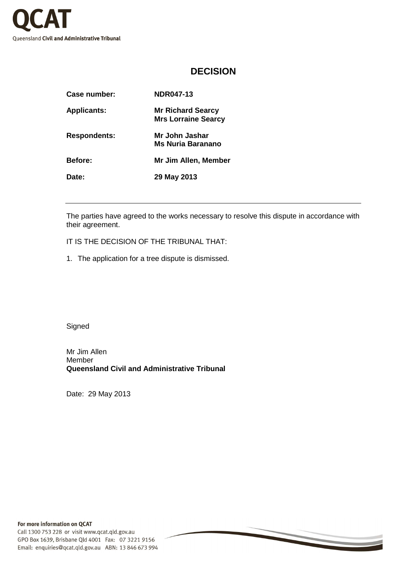

## **DECISION**

| Case number:        | <b>NDR047-13</b>                                       |
|---------------------|--------------------------------------------------------|
| <b>Applicants:</b>  | <b>Mr Richard Searcy</b><br><b>Mrs Lorraine Searcy</b> |
| <b>Respondents:</b> | Mr John Jashar<br>Ms Nuria Baranano                    |
| <b>Before:</b>      | Mr Jim Allen, Member                                   |
| Date:               | 29 May 2013                                            |
|                     |                                                        |

The parties have agreed to the works necessary to resolve this dispute in accordance with their agreement.

IT IS THE DECISION OF THE TRIBUNAL THAT:

1. The application for a tree dispute is dismissed.

**Signed** 

Mr Jim Allen Member **Queensland Civil and Administrative Tribunal** 

Date: 29 May 2013